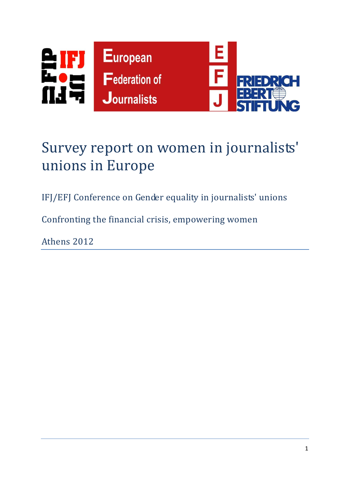

# Survey report on women in journalists' unions in Europe

IFJ/EFJ Conference on Gender equality in journalists' unions

Confronting the financial crisis, empowering women

Athens 2012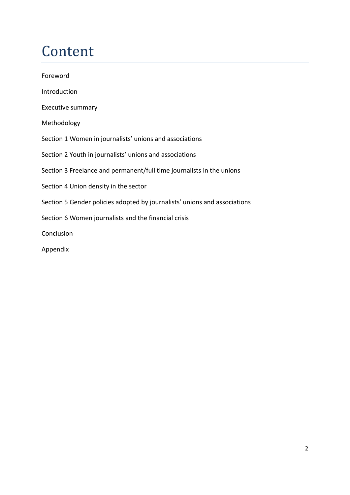# Content

| Foreword                                                                  |
|---------------------------------------------------------------------------|
| Introduction                                                              |
| <b>Executive summary</b>                                                  |
| Methodology                                                               |
| Section 1 Women in journalists' unions and associations                   |
| Section 2 Youth in journalists' unions and associations                   |
| Section 3 Freelance and permanent/full time journalists in the unions     |
| Section 4 Union density in the sector                                     |
| Section 5 Gender policies adopted by journalists' unions and associations |
| Section 6 Women journalists and the financial crisis                      |
| Conclusion                                                                |
| Appendix                                                                  |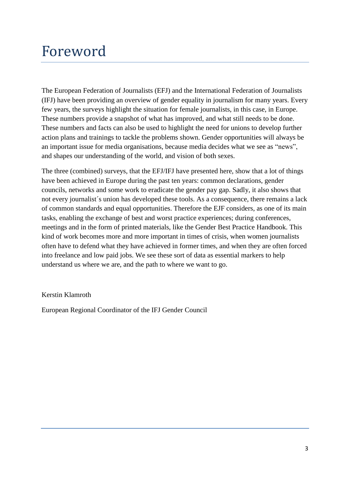## Foreword

The European Federation of Journalists (EFJ) and the International Federation of Journalists (IFJ) have been providing an overview of gender equality in journalism for many years. Every few years, the surveys highlight the situation for female journalists, in this case, in Europe. These numbers provide a snapshot of what has improved, and what still needs to be done. These numbers and facts can also be used to highlight the need for unions to develop further action plans and trainings to tackle the problems shown. Gender opportunities will always be an important issue for media organisations, because media decides what we see as "news", and shapes our understanding of the world, and vision of both sexes.

The three (combined) surveys, that the EFJ/IFJ have presented here, show that a lot of things have been achieved in Europe during the past ten years: common declarations, gender councils, networks and some work to eradicate the gender pay gap. Sadly, it also shows that not every journalist´s union has developed these tools. As a consequence, there remains a lack of common standards and equal opportunities. Therefore the EJF considers, as one of its main tasks, enabling the exchange of best and worst practice experiences; during conferences, meetings and in the form of printed materials, like the Gender Best Practice Handbook. This kind of work becomes more and more important in times of crisis, when women journalists often have to defend what they have achieved in former times, and when they are often forced into freelance and low paid jobs. We see these sort of data as essential markers to help understand us where we are, and the path to where we want to go.

Kerstin Klamroth

European Regional Coordinator of the IFJ Gender Council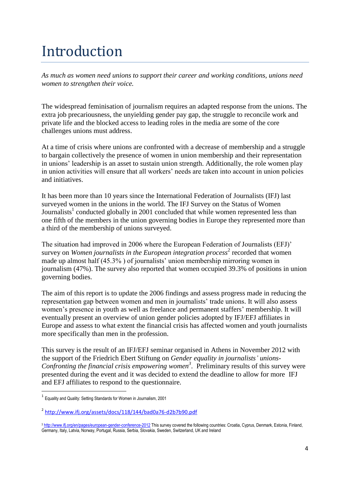# Introduction

*As much as women need unions to support their career and working conditions, unions need women to strengthen their voice.* 

The widespread feminisation of journalism requires an adapted response from the unions. The extra job precariousness, the unyielding gender pay gap, the struggle to reconcile work and private life and the blocked access to leading roles in the media are some of the core challenges unions must address.

At a time of crisis where unions are confronted with a decrease of membership and a struggle to bargain collectively the presence of women in union membership and their representation in unions' leadership is an asset to sustain union strength. Additionally, the role women play in union activities will ensure that all workers' needs are taken into account in union policies and initiatives.

It has been more than 10 years since the International Federation of Journalists (IFJ) last surveyed women in the unions in the world. The IFJ Survey on the Status of Women Journalists<sup>1</sup> conducted globally in 2001 concluded that while women represented less than one fifth of the members in the union governing bodies in Europe they represented more than a third of the membership of unions surveyed.

The situation had improved in 2006 where the European Federation of Journalists (EFJ)' survey on *Women journalists in the European integration process*<sup>2</sup> recorded that women made up almost half (45.3% ) of journalists' union membership mirroring women in journalism (47%). The survey also reported that women occupied 39.3% of positions in union governing bodies.

The aim of this report is to update the 2006 findings and assess progress made in reducing the representation gap between women and men in journalists' trade unions. It will also assess women's presence in youth as well as freelance and permanent staffers' membership. It will eventually present an overview of union gender policies adopted by IFJ/EFJ affiliates in Europe and assess to what extent the financial crisis has affected women and youth journalists more specifically than men in the profession.

This survey is the result of an IFJ/EFJ seminar organised in Athens in November 2012 with the support of the Friedrich Ebert Stiftung on *Gender equality in journalists' unions-Confronting the financial crisis empowering women<sup>3</sup>* . Preliminary results of this survey were presented during the event and it was decided to extend the deadline to allow for more IFJ and EFJ affiliates to respond to the questionnaire.

**.** 

<sup>&</sup>lt;sup>1</sup> Equality and Quality: Setting Standards for Women in Journalism, 2001

<sup>&</sup>lt;sup>2</sup> <http://www.ifj.org/assets/docs/118/144/bad0a76-d2b7b90.pdf>

<sup>&</sup>lt;sup>3</sup> <http://www.ifj.org/en/pages/european-gender-conference-2012></u> This survey covered the following countries: Croatia, Cyprus, Denmark, Estonia, Finland, Germany, Italy, Latvia, Norway, Portugal, Russia, Serbia, Slovakia, Sweden, Switzerland, UK and Ireland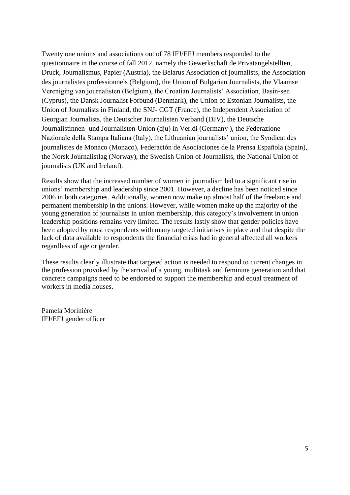Twenty one unions and associations out of 78 IFJ/EFJ members responded to the questionnaire in the course of fall 2012, namely the Gewerkschaft de Privatangelstellten, Druck, Journalismus, Papier (Austria), the Belarus Association of journalists, the Association des journalistes professionnels (Belgium), the Union of Bulgarian Journalists, the Vlaamse Vereniging van journalisten (Belgium), the Croatian Journalists' Association, Basin-sen (Cyprus), the Dansk Journalist Forbund (Denmark), the Union of Estonian Journalists, the Union of Journalists in Finland, the SNJ- CGT (France), the Independent Association of Georgian Journalists, the Deutscher Journalisten Verband (DJV), the Deutsche Journalistinnen- und Journalisten-Union (dju) in Ver.di (Germany ), the Federazione Nazionale della Stampa Italiana (Italy), the Lithuanian journalists' union, the Syndicat des journalistes de Monaco (Monaco), Federación de Asociaciones de la Prensa Española (Spain), the Norsk Journalistlag (Norway), the Swedish Union of Journalists, the National Union of journalists (UK and Ireland).

Results show that the increased number of women in journalism led to a significant rise in unions' membership and leadership since 2001. However, a decline has been noticed since 2006 in both categories. Additionally, women now make up almost half of the freelance and permanent membership in the unions. However, while women make up the majority of the young generation of journalists in union membership, this category's involvement in union leadership positions remains very limited. The results lastly show that gender policies have been adopted by most respondents with many targeted initiatives in place and that despite the lack of data available to respondents the financial crisis had in general affected all workers regardless of age or gender.

These results clearly illustrate that targeted action is needed to respond to current changes in the profession provoked by the arrival of a young, multitask and feminine generation and that concrete campaigns need to be endorsed to support the membership and equal treatment of workers in media houses.

Pamela Morinière IFJ/EFJ gender officer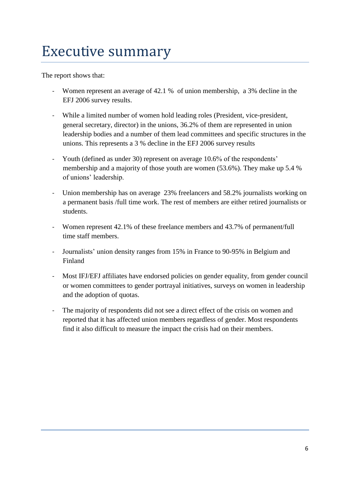# Executive summary

The report shows that:

- Women represent an average of 42.1 % of union membership, a 3% decline in the EFJ 2006 survey results.
- While a limited number of women hold leading roles (President, vice-president, general secretary, director) in the unions, 36.2% of them are represented in union leadership bodies and a number of them lead committees and specific structures in the unions. This represents a 3 % decline in the EFJ 2006 survey results
- Youth (defined as under 30) represent on average 10.6% of the respondents' membership and a majority of those youth are women (53.6%). They make up 5.4 % of unions' leadership.
- Union membership has on average 23% freelancers and 58.2% journalists working on a permanent basis /full time work. The rest of members are either retired journalists or students.
- Women represent 42.1% of these freelance members and 43.7% of permanent/full time staff members.
- Journalists' union density ranges from 15% in France to 90-95% in Belgium and Finland
- Most IFJ/EFJ affiliates have endorsed policies on gender equality, from gender council or women committees to gender portrayal initiatives, surveys on women in leadership and the adoption of quotas.
- The majority of respondents did not see a direct effect of the crisis on women and reported that it has affected union members regardless of gender. Most respondents find it also difficult to measure the impact the crisis had on their members.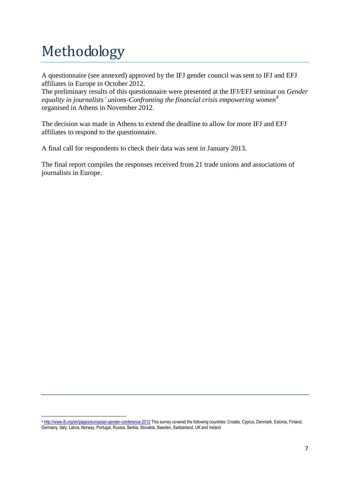# Methodology

A questionnaire (see annexed) approved by the IFJ gender council was sent to IFJ and EFJ affiliates in Europe in October 2012.

The preliminary results of this questionnaire were presented at the IFJ/EFJ seminar on *Gender equality in journalists' unions-Confronting the financial crisis empowering women<sup>4</sup>* organised in Athens in November 2012.

The decision was made in Athens to extend the deadline to allow for more IFJ and EFJ affiliates to respond to the questionnaire.

A final call for respondents to check their data was sent in January 2013.

The final report compiles the responses received from 21 trade unions and associations of journalists in Europe.

<sup>1</sup> 4 <http://www.ifj.org/en/pages/european-gender-conference-2012> This survey covered the following countries: Croatia, Cyprus, Denmark, Estonia, Finland, Germany, Italy, Latvia, Norway, Portugal, Russia, Serbia, Slovakia, Sweden, Switzerland, UK and Ireland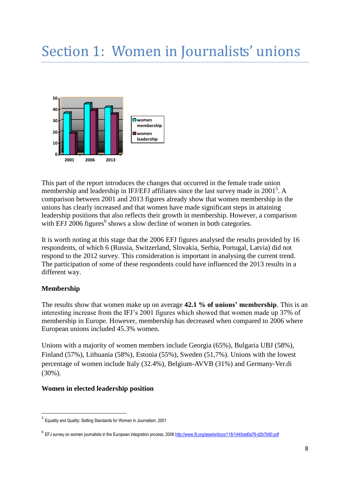# Section 1: Women in Journalists' unions



This part of the report introduces the changes that occurred in the female trade union membership and leadership in IFJ/EFJ affiliates since the last survey made in 2001<sup>5</sup>. A comparison between 2001 and 2013 figures already show that women membership in the unions has clearly increased and that women have made significant steps in attaining leadership positions that also reflects their growth in membership. However, a comparison with EFJ 2006 figures<sup>6</sup> shows a slow decline of women in both categories.

It is worth noting at this stage that the 2006 EFJ figures analysed the results provided by 16 respondents, of which 6 (Russia, Switzerland, Slovakia, Serbia, Portugal, Latvia) did not respond to the 2012 survey. This consideration is important in analysing the current trend. The participation of some of these respondents could have influenced the 2013 results in a different way.

### **Membership**

 $\overline{a}$ 

The results show that women make up on average **42.1 % of unions' membership**. This is an interesting increase from the IFJ's 2001 figures which showed that women made up 37% of membership in Europe. However, membership has decreased when compared to 2006 where European unions included 45.3% women.

Unions with a majority of women members include Georgia (65%), Bulgaria UBJ (58%), Finland (57%), Lithuania (58%), Estonia (55%), Sweden (51,7%). Unions with the lowest percentage of women include Italy (32.4%), Belgium-AVVB (31%) and Germany-Ver.di (30%).

### **Women in elected leadership position**

<sup>&</sup>lt;sup>5</sup> Equality and Quality: Setting Standards for Women in Journalism, 2001

<sup>&</sup>lt;sup>6</sup> EFJ survey on women journalists in the European integration process, 200[6 http://www.ifj.org/assets/docs/118/144/bad0a76-d2b7b90.pdf](http://www.ifj.org/assets/docs/118/144/bad0a76-d2b7b90.pdf)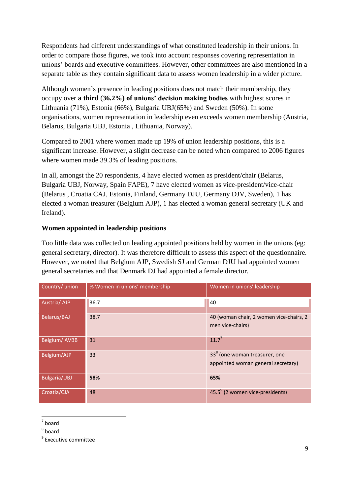Respondents had different understandings of what constituted leadership in their unions. In order to compare those figures, we took into account responses covering representation in unions' boards and executive committees. However, other committees are also mentioned in a separate table as they contain significant data to assess women leadership in a wider picture.

Although women's presence in leading positions does not match their membership, they occupy over **a third** (**36.2%) of unions' decision making bodies** with highest scores in Lithuania (71%), Estonia (66%), Bulgaria UBJ(65%) and Sweden (50%). In some organisations, women representation in leadership even exceeds women membership (Austria, Belarus, Bulgaria UBJ, Estonia , Lithuania, Norway).

Compared to 2001 where women made up 19% of union leadership positions, this is a significant increase. However, a slight decrease can be noted when compared to 2006 figures where women made 39.3% of leading positions.

In all, amongst the 20 respondents, 4 have elected women as president/chair (Belarus, Bulgaria UBJ, Norway, Spain FAPE), 7 have elected women as vice-president/vice-chair (Belarus , Croatia CAJ, Estonia, Finland, Germany DJU, Germany DJV, Sweden), 1 has elected a woman treasurer (Belgium AJP), 1 has elected a woman general secretary (UK and Ireland).

### **Women appointed in leadership positions**

Too little data was collected on leading appointed positions held by women in the unions (eg: general secretary, director). It was therefore difficult to assess this aspect of the questionnaire. However, we noted that Belgium AJP, Swedish SJ and German DJU had appointed women general secretaries and that Denmark DJ had appointed a female director.

| Country/ union      | % Women in unions' membership | Women in unions' leadership                                                     |  |
|---------------------|-------------------------------|---------------------------------------------------------------------------------|--|
| Austria/AJP         | 36.7                          | 40                                                                              |  |
| Belarus/BAJ         | 38.7                          | 40 (woman chair, 2 women vice-chairs, 2<br>men vice-chairs)                     |  |
| Belgium/AVBB        | 31                            | $11.7^7$                                                                        |  |
| Belgium/AJP         | 33                            | 33 <sup>8</sup> (one woman treasurer, one<br>appointed woman general secretary) |  |
| <b>Bulgaria/UBJ</b> | 58%                           | 65%                                                                             |  |
| Croatia/CJA         | 48                            | $45.5^9$ (2 women vice-presidents)                                              |  |

 7 board

 $^8$  board

<sup>&</sup>lt;sup>9</sup> Executive committee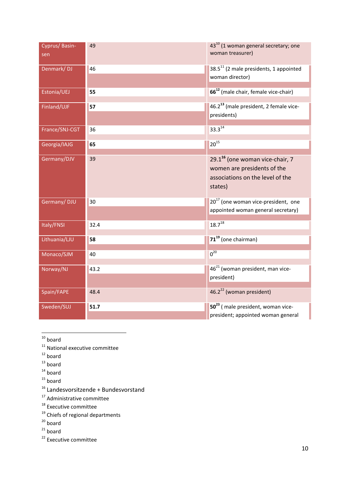| Cyprus/Basin-<br>sen | 49   | 43 <sup>10</sup> (1 woman general secretary; one<br>woman treasurer)                                                      |  |
|----------------------|------|---------------------------------------------------------------------------------------------------------------------------|--|
| Denmark/DJ           | 46   | 38.5 <sup>11</sup> (2 male presidents, 1 appointed<br>woman director)                                                     |  |
| Estonia/UEJ          | 55   | 66 <sup>12</sup> (male chair, female vice-chair)                                                                          |  |
| Finland/UJF          | 57   | 46.2 <sup>13</sup> (male president, 2 female vice-<br>presidents)                                                         |  |
| France/SNJ-CGT       | 36   | $33.3^{14}$                                                                                                               |  |
| Georgia/IAJG         | 65   | $20^{15}$                                                                                                                 |  |
| Germany/DJV          | 39   | 29.1 <sup>16</sup> (one woman vice-chair, 7<br>women are presidents of the<br>associations on the level of the<br>states) |  |
| Germany/DJU          | 30   | $20^{17}$ (one woman vice-president, one<br>appointed woman general secretary)                                            |  |
| Italy/FNSI           | 32.4 | $18.7^{18}$                                                                                                               |  |
| Lithuania/LJU        | 58   | 71 <sup>19</sup> (one chairman)                                                                                           |  |
| Monaco/SJM           | 40   | $0^{20}$                                                                                                                  |  |
| Norway/NJ            | 43.2 | 46 <sup>21</sup> (woman president, man vice-<br>president)                                                                |  |
| Spain/FAPE           | 48.4 | $46.2^{22}$ (woman president)                                                                                             |  |
| Sweden/SUJ           | 51.7 | 50 <sup>23</sup> (male president, woman vice-<br>president; appointed woman general                                       |  |

 $\overline{a}$  $10$  board

- $11$  National executive committee
- $12$  board
- $13$  board
- $14$  board
- $15$  board
- <sup>16</sup> Landesvorsitzende + Bundesvorstand
- <sup>17</sup> Administrative committee
- <sup>18</sup> Executive committee
- <sup>19</sup> Chiefs of regional departments
- $20$  board
- $21$  board
- <sup>22</sup> Executive committee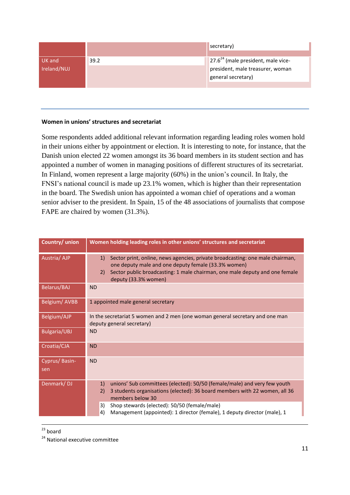|             |      | secretary)                           |
|-------------|------|--------------------------------------|
|             |      |                                      |
| UK and      | 39.2 | $27.624$ (male president, male vice- |
| Ireland/NUJ |      | president, male treasurer, woman     |
|             |      | general secretary)                   |
|             |      |                                      |

#### **Women in unions' structures and secretariat**

Some respondents added additional relevant information regarding leading roles women hold in their unions either by appointment or election. It is interesting to note, for instance, that the Danish union elected 22 women amongst its 36 board members in its student section and has appointed a number of women in managing positions of different structures of its secretariat. In Finland, women represent a large majority (60%) in the union's council. In Italy, the FNSI's national council is made up 23.1% women, which is higher than their representation in the board. The Swedish union has appointed a woman chief of operations and a woman senior adviser to the president. In Spain, 15 of the 48 associations of journalists that compose FAPE are chaired by women (31.3%).

| Country/ union       | Women holding leading roles in other unions' structures and secretariat                                                                                                                                                                                 |  |  |
|----------------------|---------------------------------------------------------------------------------------------------------------------------------------------------------------------------------------------------------------------------------------------------------|--|--|
| Austria/AJP          | Sector print, online, news agencies, private broadcasting: one male chairman,<br>1)<br>one deputy male and one deputy female (33.3% women)<br>Sector public broadcasting: 1 male chairman, one male deputy and one female<br>2)<br>deputy (33.3% women) |  |  |
| <b>Belarus/BAJ</b>   | <b>ND</b>                                                                                                                                                                                                                                               |  |  |
| Belgium/AVBB         | 1 appointed male general secretary                                                                                                                                                                                                                      |  |  |
| Belgium/AJP          | In the secretariat 5 women and 2 men (one woman general secretary and one man<br>deputy general secretary)                                                                                                                                              |  |  |
| <b>Bulgaria/UBJ</b>  | <b>ND</b>                                                                                                                                                                                                                                               |  |  |
| Croatia/CJA          | <b>ND</b>                                                                                                                                                                                                                                               |  |  |
| Cyprus/Basin-<br>sen | <b>ND</b>                                                                                                                                                                                                                                               |  |  |
| Denmark/DJ           | 1)<br>unions' Sub committees (elected): 50/50 (female/male) and very few youth<br>2)<br>3 students organisations (elected): 36 board members with 22 women, all 36<br>members below 30                                                                  |  |  |
|                      | Shop stewards (elected): 50/50 (female/male)<br>3)<br>4)<br>Management (appointed): 1 director (female), 1 deputy director (male), 1                                                                                                                    |  |  |
|                      |                                                                                                                                                                                                                                                         |  |  |

 $\ddot{\phantom{a}}$  $23$  board

<sup>24</sup> National executive committee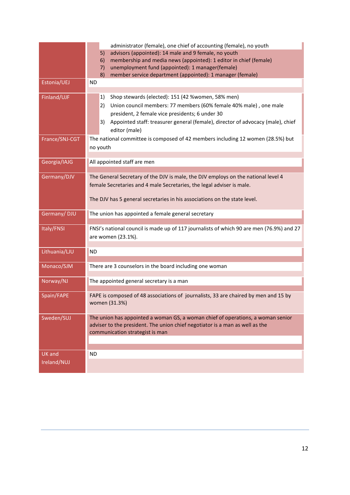|                | administrator (female), one chief of accounting (female), no youth                                                        |  |  |
|----------------|---------------------------------------------------------------------------------------------------------------------------|--|--|
|                | advisors (appointed): 14 male and 9 female, no youth<br>5)                                                                |  |  |
|                | membership and media news (appointed): 1 editor in chief (female)<br>6)                                                   |  |  |
|                | unemployment fund (appointed): 1 manager(female)<br>7)<br>8)<br>member service department (appointed): 1 manager (female) |  |  |
| Estonia/UEJ    | <b>ND</b>                                                                                                                 |  |  |
|                |                                                                                                                           |  |  |
| Finland/UJF    | Shop stewards (elected): 151 (42 %women, 58% men)<br>1)                                                                   |  |  |
|                | Union council members: 77 members (60% female 40% male), one male<br>2)                                                   |  |  |
|                | president, 2 female vice presidents; 6 under 30                                                                           |  |  |
|                | Appointed staff: treasurer general (female), director of advocacy (male), chief<br>3)                                     |  |  |
|                | editor (male)                                                                                                             |  |  |
| France/SNJ-CGT | The national committee is composed of 42 members including 12 women (28.5%) but                                           |  |  |
|                | no youth                                                                                                                  |  |  |
|                |                                                                                                                           |  |  |
| Georgia/IAJG   | All appointed staff are men                                                                                               |  |  |
|                |                                                                                                                           |  |  |
| Germany/DJV    | The General Secretary of the DJV is male, the DJV employs on the national level 4                                         |  |  |
|                | female Secretaries and 4 male Secretaries, the legal adviser is male.                                                     |  |  |
|                | The DJV has 5 general secretaries in his associations on the state level.                                                 |  |  |
|                |                                                                                                                           |  |  |
| Germany/DJU    | The union has appointed a female general secretary                                                                        |  |  |
|                |                                                                                                                           |  |  |
| Italy/FNSI     | FNSI's national council is made up of 117 journalists of which 90 are men (76.9%) and 27                                  |  |  |
|                | are women (23.1%).                                                                                                        |  |  |
| Lithuania/LJU  | <b>ND</b>                                                                                                                 |  |  |
|                |                                                                                                                           |  |  |
| Monaco/SJM     | There are 3 counselors in the board including one woman                                                                   |  |  |
|                |                                                                                                                           |  |  |
| Norway/NJ      | The appointed general secretary is a man                                                                                  |  |  |
|                |                                                                                                                           |  |  |
| Spain/FAPE     | FAPE is composed of 48 associations of journalists, 33 are chaired by men and 15 by                                       |  |  |
|                | women (31.3%)                                                                                                             |  |  |
| Sweden/SUJ     | The union has appointed a woman GS, a woman chief of operations, a woman senior                                           |  |  |
|                | adviser to the president. The union chief negotiator is a man as well as the                                              |  |  |
|                | communication strategist is man                                                                                           |  |  |
|                |                                                                                                                           |  |  |
|                |                                                                                                                           |  |  |
| <b>UK</b> and  | <b>ND</b>                                                                                                                 |  |  |
| Ireland/NUJ    |                                                                                                                           |  |  |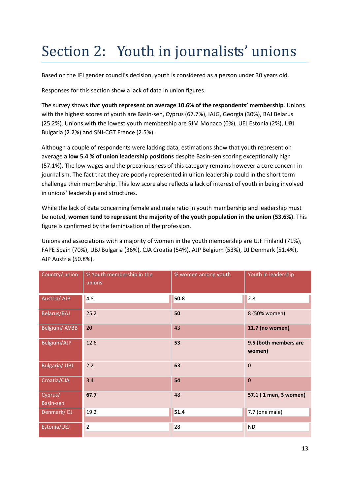# Section 2: Youth in journalists' unions

Based on the IFJ gender council's decision, youth is considered as a person under 30 years old.

Responses for this section show a lack of data in union figures.

The survey shows that **youth represent on average 10.6% of the respondents' membership**. Unions with the highest scores of youth are Basin-sen, Cyprus (67.7%), IAJG, Georgia (30%), BAJ Belarus (25.2%). Unions with the lowest youth membership are SJM Monaco (0%), UEJ Estonia (2%), UBJ Bulgaria (2.2%) and SNJ-CGT France (2.5%).

Although a couple of respondents were lacking data, estimations show that youth represent on average **a low 5.4 % of union leadership positions** despite Basin-sen scoring exceptionally high (57.1%)**.** The low wages and the precariousness of this category remains however a core concern in journalism. The fact that they are poorly represented in union leadership could in the short term challenge their membership. This low score also reflects a lack of interest of youth in being involved in unions' leadership and structures.

While the lack of data concerning female and male ratio in youth membership and leadership must be noted, **women tend to represent the majority of the youth population in the union (53.6%)**. This figure is confirmed by the feminisation of the profession.

Unions and associations with a majority of women in the youth membership are UJF Finland (71%), FAPE Spain (70%), UBJ Bulgaria (36%), CJA Croatia (54%), AJP Belgium (53%), DJ Denmark (51.4%), AJP Austria (50.8%).

| Country/ union       | % Youth membership in the<br>unions | % women among youth | Youth in leadership             |
|----------------------|-------------------------------------|---------------------|---------------------------------|
| Austria/AJP          | 4.8                                 | 50.8                | 2.8                             |
| Belarus/BAJ          | 25.2                                | 50                  | 8 (50% women)                   |
| Belgium/AVBB         | 20                                  | 43                  | 11.7 (no women)                 |
| Belgium/AJP          | 12.6                                | 53                  | 9.5 (both members are<br>women) |
| <b>Bulgaria/ UBJ</b> | 2.2                                 | 63                  | $\mathbf{0}$                    |
| Croatia/CJA          | 3.4                                 | 54                  | $\mathbf{0}$                    |
| Cyprus/<br>Basin-sen | 67.7                                | 48                  | 57.1 (1 men, 3 women)           |
| Denmark/DJ           | 19.2                                | 51.4                | 7.7 (one male)                  |
| Estonia/UEJ          | $\overline{2}$                      | 28                  | <b>ND</b>                       |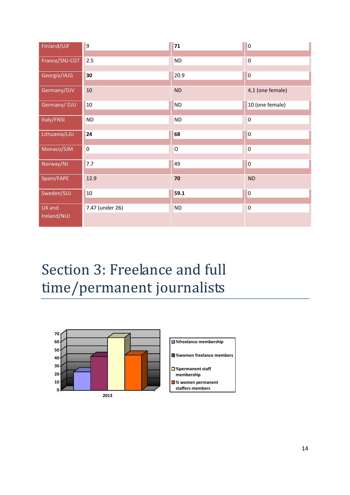| Finland/UJF                  | $\overline{9}$  | 71             | $\overline{0}$   |
|------------------------------|-----------------|----------------|------------------|
| France/SNJ-CGT               | 2.5             | <b>ND</b>      | $\overline{0}$   |
| Georgia/IAJG                 | 30              | 20.9           | $\overline{0}$   |
| Germany/DJV                  | 10              | ND             | 4,1 (one female) |
| Germany/DJU                  | 10              | <b>ND</b>      | 10 (one female)  |
| Italy/FNSI                   | ND              | <b>ND</b>      | $\overline{0}$   |
| Lithuania/LJU                | 24              | 68             | $\overline{0}$   |
| Monaco/SJM                   | $\overline{0}$  | $\overline{O}$ | $\overline{0}$   |
| Norway/NJ                    | 7.7             | 49             | $\overline{0}$   |
| Spain/FAPE                   | 12.9            | 70             | <b>ND</b>        |
| Sweden/SUJ                   | $10\,$          | 59.1           | $\overline{0}$   |
| <b>UK</b> and<br>Ireland/NUJ | 7.47 (under 26) | <b>ND</b>      | $\overline{0}$   |

# Section 3: Freelance and full time/permanent journalists

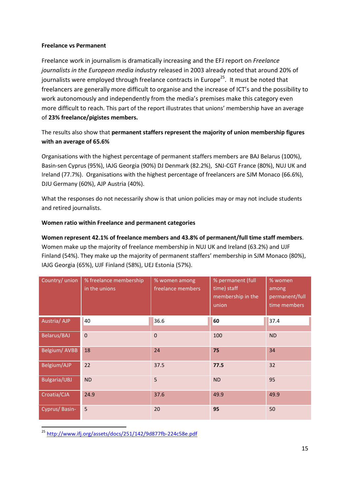#### **Freelance vs Permanent**

Freelance work in journalism is dramatically increasing and the EFJ report on *Freelance journalists in the European media industry* released in 2003 already noted that around 20% of journalists were employed through freelance contracts in Europe<sup>25</sup>. It must be noted that freelancers are generally more difficult to organise and the increase of ICT's and the possibility to work autonomously and independently from the media's premises make this category even more difficult to reach. This part of the report illustrates that unions' membership have an average of **23% freelance/pigistes members.**

### The results also show that **permanent staffers represent the majority of union membership figures with an average of 65.6%**

Organisations with the highest percentage of permanent staffers members are BAJ Belarus (100%), Basin-sen Cyprus (95%), IAJG Georgia (90%) DJ Denmark (82.2%), SNJ-CGT France (80%), NUJ UK and Ireland (77.7%). Organisations with the highest percentage of freelancers are SJM Monaco (66.6%), DJU Germany (60%), AJP Austria (40%).

What the responses do not necessarily show is that union policies may or may not include students and retired journalists.

### **Women ratio within Freelance and permanent categories**

**Women represent 42.1% of freelance members and 43.8% of permanent/full time staff members**. Women make up the majority of freelance membership in NUJ UK and Ireland (63.2%) and UJF Finland (54%). They make up the majority of permanent staffers' membership in SJM Monaco (80%), IAJG Georgia (65%), UJF Finland (58%), UEJ Estonia (57%).

| Country/ union      | % freelance membership<br>in the unions | % women among<br>freelance members | % permanent (full<br>time) staff<br>membership in the<br>union | % women<br>among<br>permanent/full<br>time members |
|---------------------|-----------------------------------------|------------------------------------|----------------------------------------------------------------|----------------------------------------------------|
| Austria/AJP         | 40                                      | 36.6                               | 60                                                             | 37.4                                               |
| Belarus/BAJ         | $\mathbf{0}$                            | $\mathbf 0$                        | 100                                                            | <b>ND</b>                                          |
| Belgium/AVBB        | 18                                      | 24                                 | 75                                                             | 34                                                 |
| <b>Belgium/AJP</b>  | 22                                      | 37.5                               | 77.5                                                           | 32                                                 |
| <b>Bulgaria/UBJ</b> | <b>ND</b>                               | 5                                  | <b>ND</b>                                                      | 95                                                 |
| Croatia/CJA         | 24.9                                    | 37.6                               | 49.9                                                           | 49.9                                               |
| Cyprus/Basin-       | 5                                       | 20                                 | 95                                                             | 50                                                 |

<sup>25</sup> <http://www.ifj.org/assets/docs/251/142/9d877fb-224c58e.pdf>

1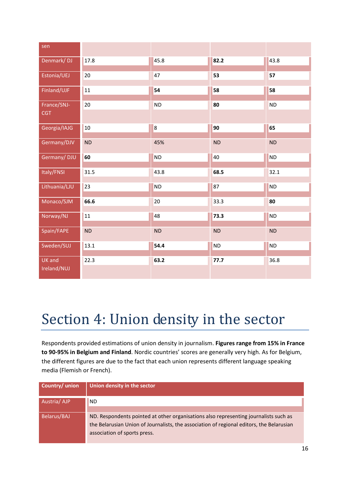| sen                          |           |           |           |           |
|------------------------------|-----------|-----------|-----------|-----------|
| Denmark/DJ                   | 17.8      | 45.8      | 82.2      | 43.8      |
| Estonia/UEJ                  | 20        | 47        | 53        | 57        |
| Finland/UJF                  | 11        | 54        | 58        | 58        |
| France/SNJ-<br><b>CGT</b>    | 20        | <b>ND</b> | 80        | <b>ND</b> |
| Georgia/IAJG                 | 10        | 8         | 90        | 65        |
| Germany/DJV                  | <b>ND</b> | 45%       | <b>ND</b> | <b>ND</b> |
| Germany/DJU                  | 60        | <b>ND</b> | 40        | <b>ND</b> |
| Italy/FNSI                   | 31.5      | 43.8      | 68.5      | 32.1      |
| Lithuania/LJU                | 23        | $\sf ND$  | 87        | <b>ND</b> |
| Monaco/SJM                   | 66.6      | 20        | 33.3      | 80        |
| Norway/NJ                    | 11        | 48        | 73.3      | <b>ND</b> |
| Spain/FAPE                   | <b>ND</b> | ND        | ND        | ND        |
| Sweden/SUJ                   | 13.1      | 54.4      | <b>ND</b> | <b>ND</b> |
| <b>UK</b> and<br>Ireland/NUJ | 22.3      | 63.2      | 77.7      | 36.8      |

## Section 4: Union density in the sector

Respondents provided estimations of union density in journalism. **Figures range from 15% in France to 90-95% in Belgium and Finland**. Nordic countries' scores are generally very high. As for Belgium, the different figures are due to the fact that each union represents different language speaking media (Flemish or French).

| Country/ union | Union density in the sector                                                                                                                                                                                      |
|----------------|------------------------------------------------------------------------------------------------------------------------------------------------------------------------------------------------------------------|
| Austria/AJP    | <b>ND</b>                                                                                                                                                                                                        |
| Belarus/BAJ    | ND. Respondents pointed at other organisations also representing journalists such as<br>the Belarusian Union of Journalists, the association of regional editors, the Belarusian<br>association of sports press. |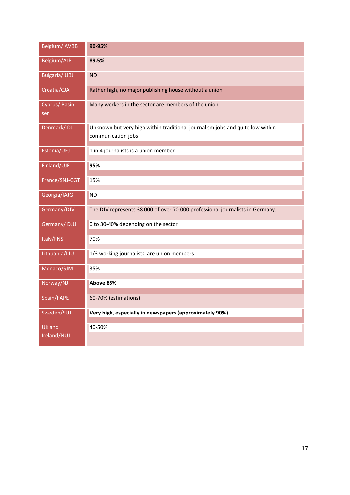| Belgium/ AVBB        | 90-95%                                                                        |
|----------------------|-------------------------------------------------------------------------------|
| Belgium/AJP          | 89.5%                                                                         |
| <b>Bulgaria/UBJ</b>  | <b>ND</b>                                                                     |
| Croatia/CJA          | Rather high, no major publishing house without a union                        |
| Cyprus/Basin-<br>sen | Many workers in the sector are members of the union                           |
| Denmark/DJ           | Unknown but very high within traditional journalism jobs and quite low within |
|                      | communication jobs                                                            |
| Estonia/UEJ          | 1 in 4 journalists is a union member                                          |
| Finland/UJF          | 95%                                                                           |
| France/SNJ-CGT       | 15%                                                                           |
| Georgia/IAJG         | ND.                                                                           |
| Germany/DJV          | The DJV represents 38.000 of over 70.000 professional journalists in Germany. |
| Germany/DJU          | 0 to 30-40% depending on the sector                                           |
| Italy/FNSI           | 70%                                                                           |
| Lithuania/LJU        | 1/3 working journalists are union members                                     |
| Monaco/SJM           | 35%                                                                           |
| Norway/NJ            | Above 85%                                                                     |
| Spain/FAPE           | 60-70% (estimations)                                                          |
| Sweden/SUJ           | Very high, especially in newspapers (approximately 90%)                       |
| <b>UK</b> and        | 40-50%                                                                        |
| Ireland/NUJ          |                                                                               |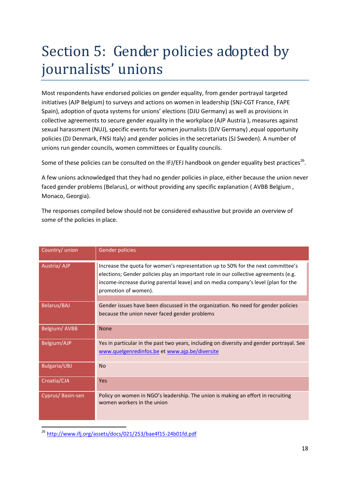# Section 5: Gender policies adopted by journalists' unions

Most respondents have endorsed policies on gender equality, from gender portrayal targeted initiatives (AJP Belgium) to surveys and actions on women in leadership (SNJ-CGT France, FAPE Spain), adoption of quota systems for unions' elections (DJU Germany) as well as provisions in collective agreements to secure gender equality in the workplace (AJP Austria ), measures against sexual harassment (NUJ), specific events for women journalists (DJV Germany), equal opportunity policies (DJ Denmark, FNSI Italy) and gender policies in the secretariats (SJ Sweden). A number of unions run gender councils, women committees or Equality councils.

Some of these policies can be consulted on the IFJ/EFJ handbook on gender equality best practices<sup>26</sup>.

A few unions acknowledged that they had no gender policies in place, either because the union never faced gender problems (Belarus), or without providing any specific explanation ( AVBB Belgium , Monaco, Georgia).

The responses compiled below should not be considered exhaustive but provide an overview of some of the policies in place.

| Country/ union      | <b>Gender policies</b>                                                                                                                                                                                                                                                                |
|---------------------|---------------------------------------------------------------------------------------------------------------------------------------------------------------------------------------------------------------------------------------------------------------------------------------|
| Austria/AJP         | Increase the quota for women's representation up to 50% for the next committee's<br>elections; Gender policies play an important role in our collective agreements (e.g.<br>income-increase during parental leave) and on media company's level (plan for the<br>promotion of women). |
| <b>Belarus/BAJ</b>  | Gender issues have been discussed in the organization. No need for gender policies<br>because the union never faced gender problems                                                                                                                                                   |
| Belgium/AVBB        | <b>None</b>                                                                                                                                                                                                                                                                           |
| Belgium/AJP         | Yes in particular in the past two years, including on diversity and gender portrayal. See<br>www.quelgenredinfos.be et www.ajp.be/diversite                                                                                                                                           |
| <b>Bulgaria/UBJ</b> | <b>No</b>                                                                                                                                                                                                                                                                             |
| Croatia/CJA         | Yes                                                                                                                                                                                                                                                                                   |
| Cyprus/Basin-sen    | Policy on women in NGO's leadership. The union is making an effort in recruiting<br>women workers in the union                                                                                                                                                                        |

<sup>26</sup> <http://www.ifj.org/assets/docs/021/253/bae4f15-24b01fd.pdf>

1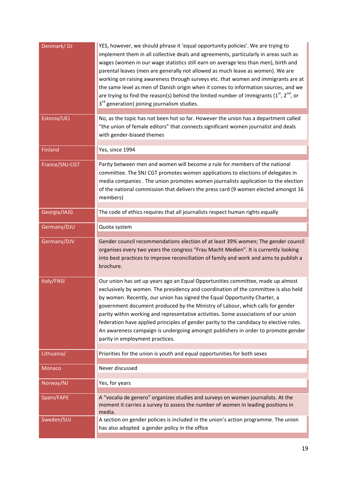| Denmark/DJ     | YES, however, we should phrase it 'equal opportunity policies'. We are trying to<br>implement them in all collective deals and agreements, particularly in areas such as<br>wages (women in our wage statistics still earn on average less than men), birth and<br>parental leaves (men are generally not allowed as much leave as women). We are<br>working on raising awareness through surveys etc. that women and immigrants are at<br>the same level as men of Danish origin when it comes to information sources, and we<br>are trying to find the reason(s) behind the limited number of immigrants ( $1^{st}$ , $2^{nd}$ , or<br>3 <sup>rd</sup> generation) joining journalism studies. |
|----------------|--------------------------------------------------------------------------------------------------------------------------------------------------------------------------------------------------------------------------------------------------------------------------------------------------------------------------------------------------------------------------------------------------------------------------------------------------------------------------------------------------------------------------------------------------------------------------------------------------------------------------------------------------------------------------------------------------|
| Estonia/UEJ    | No, as the topic has not been hot so far. However the union has a department called<br>"the union of female editors" that connects significant women journalist and deals<br>with gender-biased themes                                                                                                                                                                                                                                                                                                                                                                                                                                                                                           |
| Finland        | Yes, since 1994                                                                                                                                                                                                                                                                                                                                                                                                                                                                                                                                                                                                                                                                                  |
| France/SNJ-CGT | Parity between men and women will become a rule for members of the national<br>committee. The SNJ CGT promotes women applications to elections of delegates in<br>media companies . The union promotes women journalists application to the election<br>of the national commission that delivers the press card (9 women elected amongst 16<br>members)                                                                                                                                                                                                                                                                                                                                          |
| Georgia/IAJG   | The code of ethics requires that all journalists respect human rights equally                                                                                                                                                                                                                                                                                                                                                                                                                                                                                                                                                                                                                    |
| Germany/DJU    | Quota system                                                                                                                                                                                                                                                                                                                                                                                                                                                                                                                                                                                                                                                                                     |
| Germany/DJV    | Gender council recommendations election of at least 39% women; The gender council<br>organises every two years the congress "Frau Macht Medien". It is currently looking<br>into best practices to improve reconciliation of family and work and aims to publish a<br>brochure.                                                                                                                                                                                                                                                                                                                                                                                                                  |
| Italy/FNSI     | Our union has set up years ago an Equal Opportunities committee, made up almost<br>exclusively by women. The presidency and coordination of the committee is also held<br>by women. Recently, our union has signed the Equal Opportunity Charter, a<br>government document produced by the Ministry of Labour, which calls for gender<br>parity within working and representative activities. Some associations of our union<br>federation have applied principles of gender parity to the candidacy to elective roles.<br>An awareness campaign is undergoing amongst publishers in order to promote gender<br>parity in employment practices.                                                  |
| Lithuania/     | Priorities for the union is youth and equal opportunities for both sexes                                                                                                                                                                                                                                                                                                                                                                                                                                                                                                                                                                                                                         |
| <b>Monaco</b>  | Never discussed                                                                                                                                                                                                                                                                                                                                                                                                                                                                                                                                                                                                                                                                                  |
| Norway/NJ      | Yes, for years                                                                                                                                                                                                                                                                                                                                                                                                                                                                                                                                                                                                                                                                                   |
| Spain/FAPE     | A "vocalia de genero" organizes studies and surveys on women journalists. At the<br>moment it carries a survey to assess the number of women in leading positions in<br>media.                                                                                                                                                                                                                                                                                                                                                                                                                                                                                                                   |
| Sweden/SUJ     | A section on gender policies is included in the union's action programme. The union<br>has also adopted a gender policy in the office                                                                                                                                                                                                                                                                                                                                                                                                                                                                                                                                                            |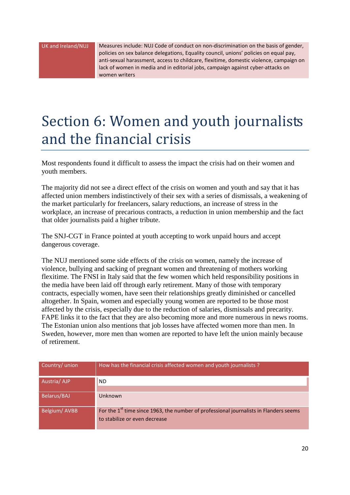UK and Ireland/NUJ Measures include: NUJ Code of conduct on non-discrimination on the basis of gender, policies on sex balance delegations, Equality council, unions' policies on equal pay, anti-sexual harassment, access to childcare, flexitime, domestic violence, campaign on lack of women in media and in editorial jobs, campaign against cyber-attacks on women writers

## Section 6: Women and youth journalists and the financial crisis

Most respondents found it difficult to assess the impact the crisis had on their women and youth members.

The majority did not see a direct effect of the crisis on women and youth and say that it has affected union members indistinctively of their sex with a series of dismissals, a weakening of the market particularly for freelancers, salary reductions, an increase of stress in the workplace, an increase of precarious contracts, a reduction in union membership and the fact that older journalists paid a higher tribute.

The SNJ-CGT in France pointed at youth accepting to work unpaid hours and accept dangerous coverage.

The NUJ mentioned some side effects of the crisis on women, namely the increase of violence, bullying and sacking of pregnant women and threatening of mothers working flexitime. The FNSI in Italy said that the few women which held responsibility positions in the media have been laid off through early retirement. Many of those with temporary contracts, especially women, have seen their relationships greatly diminished or cancelled altogether. In Spain, women and especially young women are reported to be those most affected by the crisis, especially due to the reduction of salaries, dismissals and precarity. FAPE links it to the fact that they are also becoming more and more numerous in news rooms. The Estonian union also mentions that job losses have affected women more than men. In Sweden, however, more men than women are reported to have left the union mainly because of retirement.

| Country/ union | How has the financial crisis affected women and youth journalists ?                                                                |
|----------------|------------------------------------------------------------------------------------------------------------------------------------|
| Austria/AJP    | ND.                                                                                                                                |
| Belarus/BAJ    | <b>Unknown</b>                                                                                                                     |
| Belgium/AVBB   | For the 1 <sup>st</sup> time since 1963, the number of professional journalists in Flanders seems<br>to stabilize or even decrease |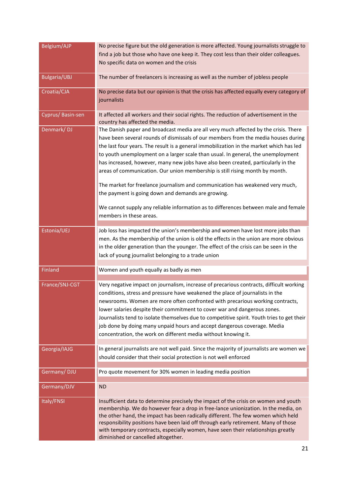| Belgium/AJP         | No precise figure but the old generation is more affected. Young journalists struggle to<br>find a job but those who have one keep it. They cost less than their older colleagues.<br>No specific data on women and the crisis                                                                                                                                                                                                                                                                                                                                                                                  |
|---------------------|-----------------------------------------------------------------------------------------------------------------------------------------------------------------------------------------------------------------------------------------------------------------------------------------------------------------------------------------------------------------------------------------------------------------------------------------------------------------------------------------------------------------------------------------------------------------------------------------------------------------|
| <b>Bulgaria/UBJ</b> | The number of freelancers is increasing as well as the number of jobless people                                                                                                                                                                                                                                                                                                                                                                                                                                                                                                                                 |
| Croatia/CJA         | No precise data but our opinion is that the crisis has affected equally every category of<br>journalists                                                                                                                                                                                                                                                                                                                                                                                                                                                                                                        |
| Cyprus/Basin-sen    | It affected all workers and their social rights. The reduction of advertisement in the<br>country has affected the media.                                                                                                                                                                                                                                                                                                                                                                                                                                                                                       |
| Denmark/DJ          | The Danish paper and broadcast media are all very much affected by the crisis. There<br>have been several rounds of dismissals of our members from the media houses during<br>the last four years. The result is a general immobilization in the market which has led<br>to youth unemployment on a larger scale than usual. In general, the unemployment<br>has increased, however, many new jobs have also been created, particularly in the<br>areas of communication. Our union membership is still rising month by month.<br>The market for freelance journalism and communication has weakened very much, |
|                     | the payment is going down and demands are growing.<br>We cannot supply any reliable information as to differences between male and female<br>members in these areas.                                                                                                                                                                                                                                                                                                                                                                                                                                            |
| Estonia/UEJ         | Job loss has impacted the union's membership and women have lost more jobs than<br>men. As the membership of the union is old the effects in the union are more obvious<br>in the older generation than the younger. The effect of the crisis can be seen in the<br>lack of young journalist belonging to a trade union                                                                                                                                                                                                                                                                                         |
| <b>Finland</b>      | Women and youth equally as badly as men                                                                                                                                                                                                                                                                                                                                                                                                                                                                                                                                                                         |
| France/SNJ-CGT      | Very negative impact on journalism, increase of precarious contracts, difficult working<br>conditions, stress and pressure have weakened the place of journalists in the<br>newsrooms. Women are more often confronted with precarious working contracts,<br>lower salaries despite their commitment to cover war and dangerous zones.<br>Journalists tend to isolate themselves due to competitive spirit. Youth tries to get their<br>job done by doing many unpaid hours and accept dangerous coverage. Media<br>concentration, the work on different media without knowing it.                              |
| Georgia/IAJG        | In general journalists are not well paid. Since the majority of journalists are women we<br>should consider that their social protection is not well enforced                                                                                                                                                                                                                                                                                                                                                                                                                                                   |
| Germany/DJU         | Pro quote movement for 30% women in leading media position                                                                                                                                                                                                                                                                                                                                                                                                                                                                                                                                                      |
| Germany/DJV         | <b>ND</b>                                                                                                                                                                                                                                                                                                                                                                                                                                                                                                                                                                                                       |
| Italy/FNSI          | Insufficient data to determine precisely the impact of the crisis on women and youth<br>membership. We do however fear a drop in free-lance unionization. In the media, on<br>the other hand, the impact has been radically different. The few women which held<br>responsibility positions have been laid off through early retirement. Many of those<br>with temporary contracts, especially women, have seen their relationships greatly<br>diminished or cancelled altogether.                                                                                                                              |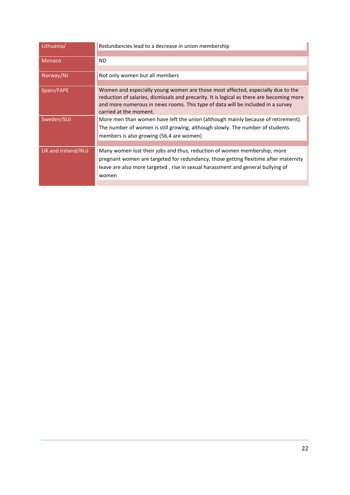| Lithuania/         | Redundancies lead to a decrease in union membership                                                                                                                                                                                                                                       |
|--------------------|-------------------------------------------------------------------------------------------------------------------------------------------------------------------------------------------------------------------------------------------------------------------------------------------|
| <b>Monaco</b>      | <b>ND</b>                                                                                                                                                                                                                                                                                 |
| Norway/NJ          | Not only women but all members                                                                                                                                                                                                                                                            |
| Spain/FAPE         | Women and especially young women are those most affected, especially due to the<br>reduction of salaries, dismissals and precarity. It is logical as there are becoming more<br>and more numerous in news rooms. This type of data will be included in a survey<br>carried at the moment. |
| Sweden/SUJ         | More men than women have left the union (although mainly because of retirement).<br>The number of women is still growing, although slowly. The number of students<br>members is also growing (56,4 are women)                                                                             |
| UK and Ireland/NUJ | Many women lost their jobs and thus, reduction of women membership, more<br>pregnant women are targeted for redundancy, those getting flexitime after maternity<br>leave are also more targeted, rise in sexual harassment and general bullying of<br>women                               |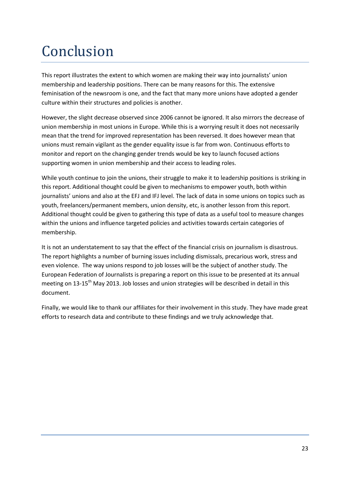# Conclusion

This report illustrates the extent to which women are making their way into journalists' union membership and leadership positions. There can be many reasons for this. The extensive feminisation of the newsroom is one, and the fact that many more unions have adopted a gender culture within their structures and policies is another.

However, the slight decrease observed since 2006 cannot be ignored. It also mirrors the decrease of union membership in most unions in Europe. While this is a worrying result it does not necessarily mean that the trend for improved representation has been reversed. It does however mean that unions must remain vigilant as the gender equality issue is far from won. Continuous efforts to monitor and report on the changing gender trends would be key to launch focused actions supporting women in union membership and their access to leading roles.

While youth continue to join the unions, their struggle to make it to leadership positions is striking in this report. Additional thought could be given to mechanisms to empower youth, both within journalists' unions and also at the EFJ and IFJ level. The lack of data in some unions on topics such as youth, freelancers/permanent members, union density, etc, is another lesson from this report. Additional thought could be given to gathering this type of data as a useful tool to measure changes within the unions and influence targeted policies and activities towards certain categories of membership.

It is not an understatement to say that the effect of the financial crisis on journalism is disastrous. The report highlights a number of burning issues including dismissals, precarious work, stress and even violence. The way unions respond to job losses will be the subject of another study. The European Federation of Journalists is preparing a report on this issue to be presented at its annual meeting on 13-15<sup>th</sup> May 2013. Job losses and union strategies will be described in detail in this document.

Finally, we would like to thank our affiliates for their involvement in this study. They have made great efforts to research data and contribute to these findings and we truly acknowledge that.